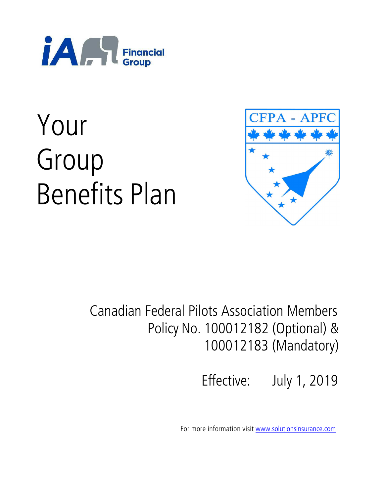

# Your Group Benefits Plan



# Canadian Federal Pilots Association Members Policy No. 100012182 (Optional) & 100012183 (Mandatory)

Effective: July 1, 2019

For more information visit www.solutionsinsurance.com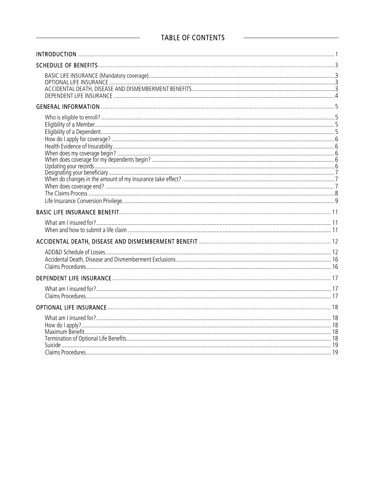## TABLE OF CONTENTS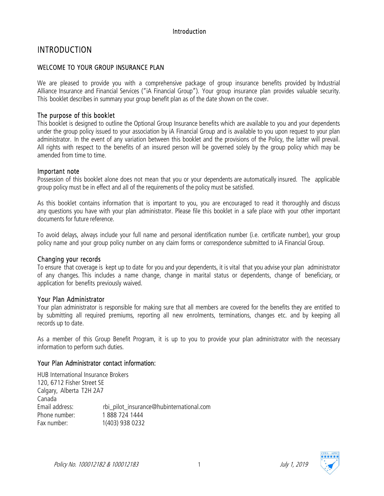#### Introduction

# INTRODUCTION

#### WELCOME TO YOUR GROUP INSURANCE PLAN

We are pleased to provide you with a comprehensive package of group insurance benefits provided by Industrial Alliance Insurance and Financial Services ("iA Financial Group"). Your group insurance plan provides valuable security. This booklet describes in summary your group benefit plan as of the date shown on the cover.

#### The purpose of this booklet

This booklet is designed to outline the Optional Group Insurance benefits which are available to you and your dependents under the group policy issued to your association by iA Financial Group and is available to you upon request to your plan administrator. In the event of any variation between this booklet and the provisions of the Policy, the latter will prevail. All rights with respect to the benefits of an insured person will be governed solely by the group policy which may be amended from time to time.

#### Important note

Possession of this booklet alone does not mean that you or your dependents are automatically insured. The applicable group policy must be in effect and all of the requirements of the policy must be satisfied.

As this booklet contains information that is important to you, you are encouraged to read it thoroughly and discuss any questions you have with your plan administrator. Please file this booklet in a safe place with your other important documents for future reference.

To avoid delays, always include your full name and personal identification number (i.e. certificate number), your group policy name and your group policy number on any claim forms or correspondence submitted to iA Financial Group.

#### Changing your records

To ensure that coverage is kept up to date for you and your dependents, it is vital that you advise your plan administrator of any changes. This includes a name change, change in marital status or dependents, change of beneficiary, or application for benefits previously waived.

#### Your Plan Administrator

Your plan administrator is responsible for making sure that all members are covered for the benefits they are entitled to by submitting all required premiums, reporting all new enrolments, terminations, changes etc. and by keeping all records up to date.

As a member of this Group Benefit Program, it is up to you to provide your plan administrator with the necessary information to perform such duties.

#### Your Plan Administrator contact information:

HUB International Insurance Brokers 120, 6712 Fisher Street SE Calgary, Alberta T2H 2A7 Canada<br>Email address: rbi pilot insurance@hubinternational.com Phone number: 1 888 724 1444 Fax number: 1(403) 938 0232

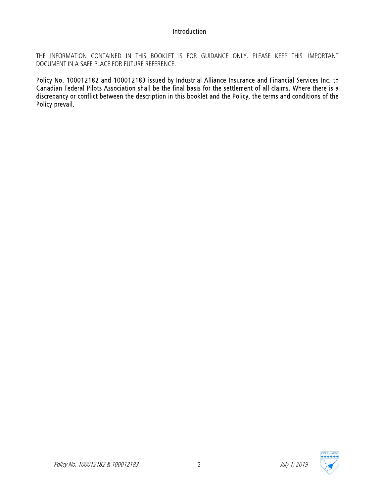#### Introduction

THE INFORMATION CONTAINED IN THIS BOOKLET IS FOR GUIDANCE ONLY. PLEASE KEEP THIS IMPORTANT DOCUMENT IN A SAFE PLACE FOR FUTURE REFERENCE.

Policy No. 100012182 and 100012183 issued by Industrial Alliance Insurance and Financial Services Inc. to Canadian Federal Pilots Association shall be the final basis for the settlement of all claims. Where there is a discrepancy or conflict between the description in this booklet and the Policy, the terms and conditions of the Policy prevail.



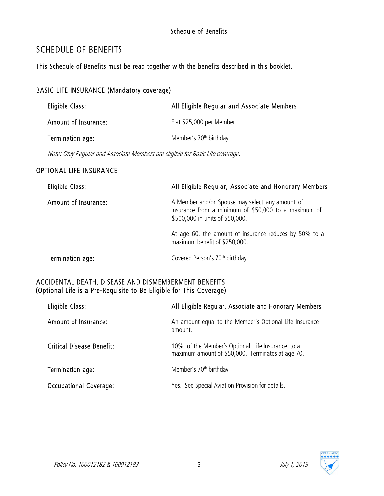#### Schedule of Benefits

# SCHEDULE OF BENEFITS

This Schedule of Benefits must be read together with the benefits described in this booklet.

#### BASIC LIFE INSURANCE (Mandatory coverage)

| Eligible Class:      | All Eligible Regular and Associate Members |
|----------------------|--------------------------------------------|
| Amount of Insurance: | Flat \$25,000 per Member                   |
| Termination age:     | Member's 70 <sup>th</sup> birthday         |

Note: Only Regular and Associate Members are eligible for Basic Life coverage.

#### OPTIONAL LIFE INSURANCE

| Eligible Class:      | All Eligible Regular, Associate and Honorary Members                                                                                       |
|----------------------|--------------------------------------------------------------------------------------------------------------------------------------------|
| Amount of Insurance: | A Member and/or Spouse may select any amount of<br>insurance from a minimum of \$50,000 to a maximum of<br>\$500,000 in units of \$50,000. |
|                      | At age 60, the amount of insurance reduces by 50% to a<br>maximum benefit of \$250,000.                                                    |
| Termination age:     | Covered Person's 70 <sup>th</sup> birthday                                                                                                 |

#### ACCIDENTAL DEATH, DISEASE AND DISMEMBERMENT BENEFITS (Optional Life is a Pre-Requisite to Be Eligible for This Coverage)

| Eligible Class:                  | All Eligible Regular, Associate and Honorary Members                                                  |
|----------------------------------|-------------------------------------------------------------------------------------------------------|
| Amount of Insurance:             | An amount equal to the Member's Optional Life Insurance<br>amount.                                    |
| <b>Critical Disease Benefit:</b> | 10% of the Member's Optional Life Insurance to a<br>maximum amount of \$50,000. Terminates at age 70. |
| Termination age:                 | Member's 70 <sup>th</sup> birthday                                                                    |
| <b>Occupational Coverage:</b>    | Yes. See Special Aviation Provision for details.                                                      |

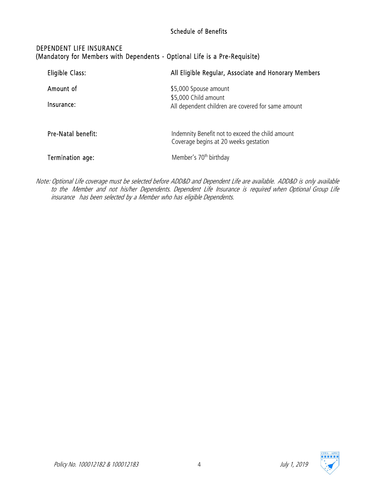#### Schedule of Benefits

#### DEPENDENT LIFE INSURANCE (Mandatory for Members with Dependents - Optional Life is a Pre-Requisite)

| Eligible Class:         | All Eligible Regular, Associate and Honorary Members                                                |
|-------------------------|-----------------------------------------------------------------------------------------------------|
| Amount of<br>Insurance: | \$5,000 Spouse amount<br>\$5,000 Child amount<br>All dependent children are covered for same amount |
| Pre-Natal benefit:      | Indemnity Benefit not to exceed the child amount<br>Coverage begins at 20 weeks gestation           |
| Termination age:        | Member's 70 <sup>th</sup> birthday                                                                  |

Note: Optional Life coverage must be selected before ADD&D and Dependent Life are available. ADD&D is only available to the Member and not his/her Dependents. Dependent Life Insurance is required when Optional Group Life insurance has been selected by a Member who has eligible Dependents.

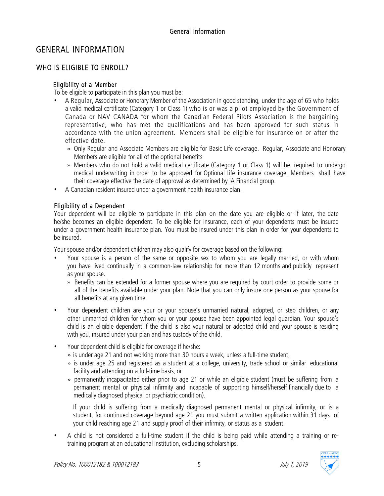# GENERAL INFORMATION

### WHO IS ELIGIBLE TO ENROLL?

#### Eligibility of a Member

To be eligible to participate in this plan you must be:

- A Regular, Associate or Honorary Member of the Association in good standing, under the age of 65 who holds a valid medical certificate (Category 1 or Class 1) who is or was a pilot employed by the Government of Canada or NAV CANADA for whom the Canadian Federal Pilots Association is the bargaining representative, who has met the qualifications and has been approved for such status in accordance with the union agreement. Members shall be eligible for insurance on or after the effective date.
	- » Only Regular and Associate Members are eligible for Basic Life coverage. Regular, Associate and Honorary Members are eligible for all of the optional benefits
	- » Members who do not hold a valid medical certificate (Category 1 or Class 1) will be required to undergo medical underwriting in order to be approved for Optional Life insurance coverage. Members shall have their coverage effective the date of approval as determined by iA Financial group.
- A Canadian resident insured under a government health insurance plan.

#### Eligibility of a Dependent

Your dependent will be eligible to participate in this plan on the date you are eligible or if later, the date he/she becomes an eligible dependent. To be eligible for insurance, each of your dependents must be insured under a government health insurance plan. You must be insured under this plan in order for your dependents to be insured.

Your spouse and/or dependent children may also qualify for coverage based on the following:

- Your spouse is a person of the same or opposite sex to whom you are legally married, or with whom you have lived continually in a common-law relationship for more than 12 months and publicly represent as your spouse.
	- » Benefits can be extended for a former spouse where you are required by court order to provide some or all of the benefits available under your plan. Note that you can only insure one person as your spouse for all benefits at any given time.
- Your dependent children are your or your spouse's unmarried natural, adopted, or step children, or any other unmarried children for whom you or your spouse have been appointed legal guardian. Your spouse's child is an eligible dependent if the child is also your natural or adopted child and your spouse is residing with you, insured under your plan and has custody of the child.
- Your dependent child is eligible for coverage if he/she:
	- » is under age 21 and not working more than 30 hours a week, unless a full-time student,
	- » is under age 25 and registered as a student at a college, university, trade school or similar educational facility and attending on a full-time basis, or
	- » permanently incapacitated either prior to age 21 or while an eligible student (must be suffering from a permanent mental or physical infirmity and incapable of supporting himself/herself financially due to a medically diagnosed physical or psychiatric condition).

If your child is suffering from a medically diagnosed permanent mental or physical infirmity, or is a student, for continued coverage beyond age 21 you must submit a written application within 31 days of your child reaching age 21 and supply proof of their infirmity, or status as a student.

• A child is not considered a full-time student if the child is being paid while attending a training or retraining program at an educational institution, excluding scholarships.

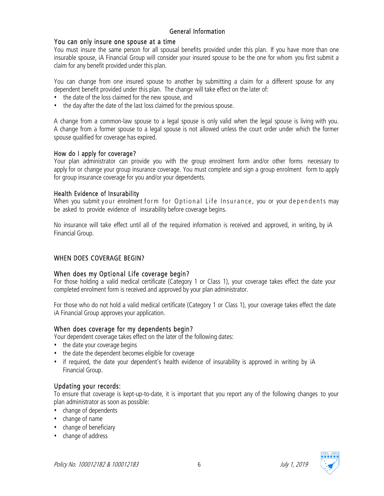#### You can only insure one spouse at a time

You must insure the same person for all spousal benefits provided under this plan. If you have more than one insurable spouse, iA Financial Group will consider your insured spouse to be the one for whom you first submit a claim for any benefit provided under this plan.

You can change from one insured spouse to another by submitting a claim for a different spouse for any dependent benefit provided under this plan. The change will take effect on the later of:

- the date of the loss claimed for the new spouse, and
- the day after the date of the last loss claimed for the previous spouse.

A change from a common-law spouse to a legal spouse is only valid when the legal spouse is living with you. A change from a former spouse to a legal spouse is not allowed unless the court order under which the former spouse qualified for coverage has expired.

#### How do I apply for coverage?

Your plan administrator can provide you with the group enrolment form and/or other forms necessary to apply for or change your group insurance coverage. You must complete and sign a group enrolment form to apply for group insurance coverage for you and/or your dependents.

#### Health Evidence of Insurability

When you submit your enrolment form for Optional Life Insurance, you or your dependents may be asked to provide evidence of insurability before coverage begins.

No insurance will take effect until all of the required information is received and approved, in writing, by iA Financial Group.

#### WHEN DOES COVERAGE BEGIN?

#### When does my Optional Life coverage begin?

For those holding a valid medical certificate (Category 1 or Class 1), your coverage takes effect the date your completed enrolment form is received and approved by your plan administrator.

For those who do not hold a valid medical certificate (Category 1 or Class 1), your coverage takes effect the date iA Financial Group approves your application.

#### When does coverage for my dependents begin?

Your dependent coverage takes effect on the later of the following dates:

- the date your coverage begins
- the date the dependent becomes eligible for coverage
- if required, the date your dependent's health evidence of insurability is approved in writing by iA Financial Group.

#### Updating your records:

To ensure that coverage is kept-up-to-date, it is important that you report any of the following changes to your plan administrator as soon as possible:

- change of dependents
- change of name
- change of beneficiary
- change of address

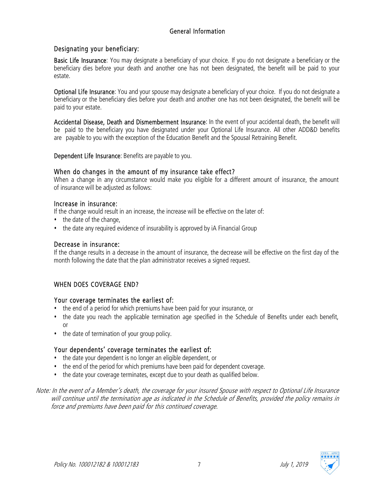#### Designating your beneficiary:

Basic Life Insurance: You may designate a beneficiary of your choice. If you do not designate a beneficiary or the beneficiary dies before your death and another one has not been designated, the benefit will be paid to your estate.

Optional Life Insurance: You and your spouse may designate a beneficiary of your choice. If you do not designate a beneficiary or the beneficiary dies before your death and another one has not been designated, the benefit will be paid to your estate.

Accidental Disease, Death and Dismemberment Insurance: In the event of your accidental death, the benefit will be paid to the beneficiary you have designated under your Optional Life Insurance. All other ADD&D benefits are payable to you with the exception of the Education Benefit and the Spousal Retraining Benefit.

Dependent Life Insurance: Benefits are payable to you.

#### When do changes in the amount of my insurance take effect?

When a change in any circumstance would make you eligible for a different amount of insurance, the amount of insurance will be adjusted as follows:

#### Increase in insurance:

If the change would result in an increase, the increase will be effective on the later of:

- the date of the change,
- the date any required evidence of insurability is approved by iA Financial Group

#### Decrease in insurance:

If the change results in a decrease in the amount of insurance, the decrease will be effective on the first day of the month following the date that the plan administrator receives a signed request.

#### WHEN DOES COVERAGE END?

#### Your coverage terminates the earliest of:

- the end of a period for which premiums have been paid for your insurance, or
- the date you reach the applicable termination age specified in the Schedule of Benefits under each benefit, or
- the date of termination of your group policy.

#### Your dependents' coverage terminates the earliest of:

- the date your dependent is no longer an eligible dependent, or
- the end of the period for which premiums have been paid for dependent coverage.
- the date your coverage terminates, except due to your death as qualified below.
- Note: In the event of a Member's death, the coverage for your insured Spouse with respect to Optional Life Insurance will continue until the termination age as indicated in the Schedule of Benefits, provided the policy remains in force and premiums have been paid for this continued coverage.

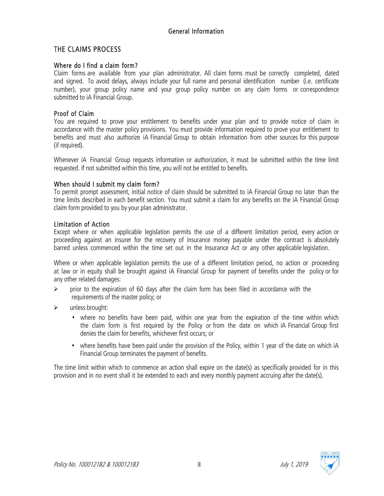#### THE CLAIMS PROCESS

#### Where do I find a claim form?

Claim forms are available from your plan administrator. All claim forms must be correctly completed, dated and signed. To avoid delays, always include your full name and personal identification number (i.e. certificate number), your group policy name and your group policy number on any claim forms or correspondence submitted to iA Financial Group.

#### Proof of Claim

You are required to prove your entitlement to benefits under your plan and to provide notice of claim in accordance with the master policy provisions. You must provide information required to prove your entitlement to benefits and must also authorize iA Financial Group to obtain information from other sources for this purpose (if required).

Whenever iA Financial Group requests information or authorization, it must be submitted within the time limit requested. If not submitted within this time, you will not be entitled to benefits.

#### When should I submit my claim form?

To permit prompt assessment, initial notice of claim should be submitted to iA Financial Group no later than the time limits described in each benefit section. You must submit a claim for any benefits on the iA Financial Group claim form provided to you by your plan administrator.

#### Limitation of Action

Except where or when applicable legislation permits the use of a different limitation period, every action or proceeding against an insurer for the recovery of insurance money payable under the contract is absolutely barred unless commenced within the time set out in the Insurance Act or any other applicable legislation.

Where or when applicable legislation permits the use of a different limitation period, no action or proceeding at law or in equity shall be brought against iA Financial Group for payment of benefits under the policy or for any other related damages:

- $\triangleright$  prior to the expiration of 60 days after the claim form has been filed in accordance with the requirements of the master policy; or
- $\triangleright$  unless brought:
	- where no benefits have been paid, within one year from the expiration of the time within which the claim form is first required by the Policy or from the date on which iA Financial Group first denies the claim for benefits, whichever first occurs; or
	- where benefits have been paid under the provision of the Policy, within 1 year of the date on which iA Financial Group terminates the payment of benefits.

The time limit within which to commence an action shall expire on the date(s) as specifically provided for in this provision and in no event shall it be extended to each and every monthly payment accruing after the date(s).

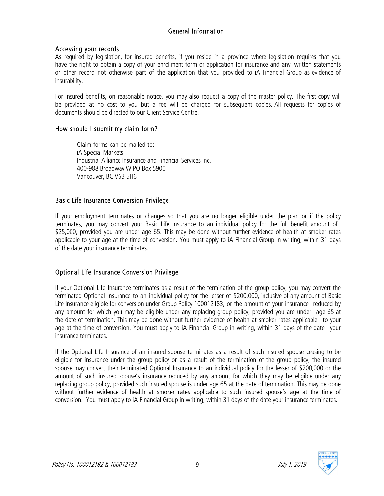#### Accessing your records

As required by legislation, for insured benefits, if you reside in a province where legislation requires that you have the right to obtain a copy of your enrollment form or application for insurance and any written statements or other record not otherwise part of the application that you provided to iA Financial Group as evidence of insurability.

For insured benefits, on reasonable notice, you may also request a copy of the master policy. The first copy will be provided at no cost to you but a fee will be charged for subsequent copies. All requests for copies of documents should be directed to our Client Service Centre.

#### How should I submit my claim form?

Claim forms can be mailed to: iA Special Markets Industrial Alliance Insurance and Financial Services Inc. 400-988 Broadway W PO Box 5900 Vancouver, BC V6B 5H6

#### Basic Life Insurance Conversion Privilege

If your employment terminates or changes so that you are no longer eligible under the plan or if the policy terminates, you may convert your Basic Life Insurance to an individual policy for the full benefit amount of \$25,000, provided you are under age 65. This may be done without further evidence of health at smoker rates applicable to your age at the time of conversion. You must apply to iA Financial Group in writing, within 31 days of the date your insurance terminates.

#### Optional Life Insurance Conversion Privilege

If your Optional Life Insurance terminates as a result of the termination of the group policy, you may convert the terminated Optional Insurance to an individual policy for the lesser of \$200,000, inclusive of any amount of Basic Life Insurance eligible for conversion under Group Policy 100012183, or the amount of your insurance reduced by any amount for which you may be eligible under any replacing group policy, provided you are under age 65 at the date of termination. This may be done without further evidence of health at smoker rates applicable to your age at the time of conversion. You must apply to iA Financial Group in writing, within 31 days of the date your insurance terminates.

If the Optional Life Insurance of an insured spouse terminates as a result of such insured spouse ceasing to be eligible for insurance under the group policy or as a result of the termination of the group policy, the insured spouse may convert their terminated Optional Insurance to an individual policy for the lesser of \$200,000 or the amount of such insured spouse's insurance reduced by any amount for which they may be eligible under any replacing group policy, provided such insured spouse is under age 65 at the date of termination. This may be done without further evidence of health at smoker rates applicable to such insured spouse's age at the time of conversion. You must apply to iA Financial Group in writing, within 31 days of the date your insurance terminates.

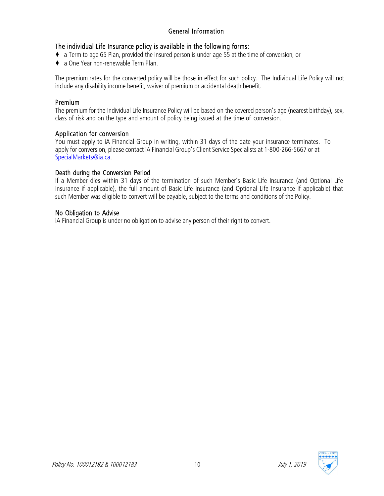#### The individual Life Insurance policy is available in the following forms:

- ♦ a Term to age 65 Plan, provided the insured person is under age 55 at the time of conversion, or
- ♦ a One Year non-renewable Term Plan.

The premium rates for the converted policy will be those in effect for such policy. The Individual Life Policy will not include any disability income benefit, waiver of premium or accidental death benefit.

#### Premium

The premium for the Individual Life Insurance Policy will be based on the covered person's age (nearest birthday), sex, class of risk and on the type and amount of policy being issued at the time of conversion.

#### Application for conversion

You must apply to iA Financial Group in writing, within 31 days of the date your insurance terminates. To apply for conversion, please contact iA Financial Group's Client Service Specialists at 1-800-266-5667 or at SpecialMarkets@ia.ca.

#### Death during the Conversion Period

If a Member dies within 31 days of the termination of such Member's Basic Life Insurance (and Optional Life Insurance if applicable), the full amount of Basic Life Insurance (and Optional Life Insurance if applicable) that such Member was eligible to convert will be payable, subject to the terms and conditions of the Policy.

#### No Obligation to Advise

iA Financial Group is under no obligation to advise any person of their right to convert.

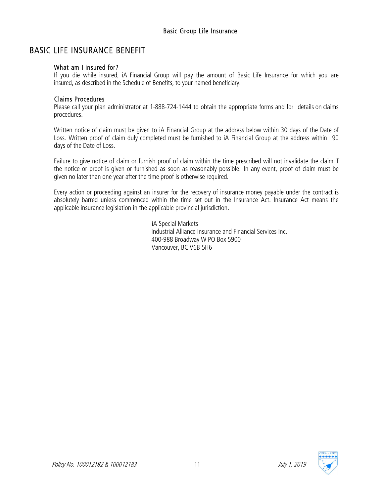# BASIC LIFE INSURANCE BENEFIT

#### What am I insured for?

If you die while insured, iA Financial Group will pay the amount of Basic Life Insurance for which you are insured, as described in the Schedule of Benefits, to your named beneficiary.

#### Claims Procedures

Please call your plan administrator at 1-888-724-1444 to obtain the appropriate forms and for details on claims procedures.

Written notice of claim must be given to iA Financial Group at the address below within 30 days of the Date of Loss. Written proof of claim duly completed must be furnished to iA Financial Group at the address within 90 days of the Date of Loss.

Failure to give notice of claim or furnish proof of claim within the time prescribed will not invalidate the claim if the notice or proof is given or furnished as soon as reasonably possible. In any event, proof of claim must be given no later than one year after the time proof is otherwise required.

Every action or proceeding against an insurer for the recovery of insurance money payable under the contract is absolutely barred unless commenced within the time set out in the Insurance Act. Insurance Act means the applicable insurance legislation in the applicable provincial jurisdiction.

> iA Special Markets Industrial Alliance Insurance and Financial Services Inc. 400-988 Broadway W PO Box 5900 Vancouver, BC V6B 5H6

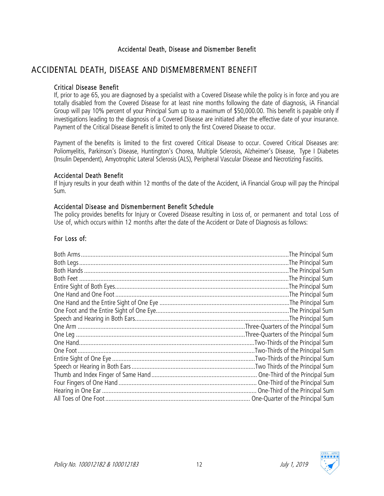#### Accidental Death, Disease and Dismember Benefit

# ACCIDENTAL DEATH, DISEASE AND DISMEMBERMENT BENEFIT

#### Critical Disease Benefit

If, prior to age 65, you are diagnosed by a specialist with a Covered Disease while the policy is in force and you are totally disabled from the Covered Disease for at least nine months following the date of diagnosis, iA Financial Group will pay 10% percent of your Principal Sum up to a maximum of \$50,000.00. This benefit is payable only if investigations leading to the diagnosis of a Covered Disease are initiated after the effective date of your insurance. Payment of the Critical Disease Benefit is limited to only the first Covered Disease to occur.

Payment of the benefits is limited to the first covered Critical Disease to occur. Covered Critical Diseases are: Poliomyelitis, Parkinson's Disease, Huntington's Chorea, Multiple Sclerosis, Alzheimer's Disease, Type I Diabetes (Insulin Dependent), Amyotrophic Lateral Sclerosis (ALS), Peripheral Vascular Disease and Necrotizing Fasciitis.

#### Accidental Death Benefit

If Injury results in your death within 12 months of the date of the Accident, iA Financial Group will pay the Principal Sum.

#### Accidental Disease and Dismemberment Benefit Schedule

The policy provides benefits for Injury or Covered Disease resulting in Loss of, or permanent and total Loss of Use of, which occurs within 12 months after the date of the Accident or Date of Diagnosis as follows:

#### For Loss of:

| The Principal Sum               |
|---------------------------------|
| The Principal Sum               |
|                                 |
| The Principal Sum               |
| The Principal Sum               |
|                                 |
|                                 |
|                                 |
|                                 |
|                                 |
|                                 |
| Two-Thirds of the Principal Sum |
|                                 |
|                                 |
|                                 |
|                                 |
|                                 |
|                                 |
|                                 |

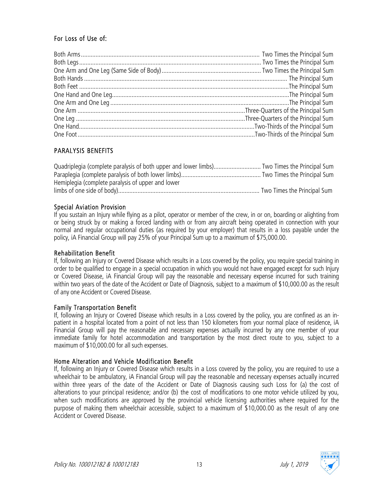#### For Loss of Use of:

#### PARALYSIS BENEFITS

Quadriplegia (complete paralysis of both upper and lower limbs)............................. Two Times the Principal Sum Paraplegia (complete paralysis of both lower limbs)................................................. Two Times the Principal Sum Hemiplegia (complete paralysis of upper and lower limbs of one side of body)....................................................................................... Two Times the Principal Sum

#### Special Aviation Provision

If you sustain an Injury while flying as a pilot, operator or member of the crew, in or on, boarding or alighting from or being struck by or making a forced landing with or from any aircraft being operated in connection with your normal and regular occupational duties (as required by your employer) that results in a loss payable under the policy, iA Financial Group will pay 25% of your Principal Sum up to a maximum of \$75,000.00.

#### Rehabilitation Benefit

If, following an Injury or Covered Disease which results in a Loss covered by the policy, you require special training in order to be qualified to engage in a special occupation in which you would not have engaged except for such Injury or Covered Disease, iA Financial Group will pay the reasonable and necessary expense incurred for such training within two years of the date of the Accident or Date of Diagnosis, subject to a maximum of \$10,000.00 as the result of any one Accident or Covered Disease.

#### Family Transportation Benefit

If, following an Injury or Covered Disease which results in a Loss covered by the policy, you are confined as an inpatient in a hospital located from a point of not less than 150 kilometers from your normal place of residence, iA Financial Group will pay the reasonable and necessary expenses actually incurred by any one member of your immediate family for hotel accommodation and transportation by the most direct route to you, subject to a maximum of \$10,000.00 for all such expenses.

#### Home Alteration and Vehicle Modification Benefit

If, following an Injury or Covered Disease which results in a Loss covered by the policy, you are required to use a wheelchair to be ambulatory, iA Financial Group will pay the reasonable and necessary expenses actually incurred within three years of the date of the Accident or Date of Diagnosis causing such Loss for (a) the cost of alterations to your principal residence; and/or (b) the cost of modifications to one motor vehicle utilized by you, when such modifications are approved by the provincial vehicle licensing authorities where required for the purpose of making them wheelchair accessible, subject to a maximum of \$10,000.00 as the result of any one Accident or Covered Disease.

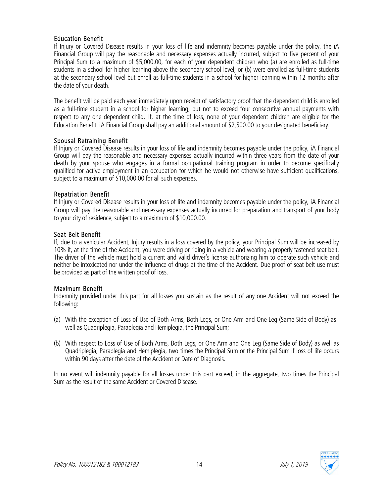#### Education Benefit

If Injury or Covered Disease results in your loss of life and indemnity becomes payable under the policy, the iA Financial Group will pay the reasonable and necessary expenses actually incurred, subject to five percent of your Principal Sum to a maximum of \$5,000.00, for each of your dependent children who (a) are enrolled as full-time students in a school for higher learning above the secondary school level; or (b) were enrolled as full-time students at the secondary school level but enroll as full-time students in a school for higher learning within 12 months after the date of your death.

The benefit will be paid each year immediately upon receipt of satisfactory proof that the dependent child is enrolled as a full-time student in a school for higher learning, but not to exceed four consecutive annual payments with respect to any one dependent child. If, at the time of loss, none of your dependent children are eligible for the Education Benefit, iA Financial Group shall pay an additional amount of \$2,500.00 to your designated beneficiary.

#### Spousal Retraining Benefit

If Injury or Covered Disease results in your loss of life and indemnity becomes payable under the policy, iA Financial Group will pay the reasonable and necessary expenses actually incurred within three years from the date of your death by your spouse who engages in a formal occupational training program in order to become specifically qualified for active employment in an occupation for which he would not otherwise have sufficient qualifications, subject to a maximum of \$10,000.00 for all such expenses.

#### Repatriation Benefit

If Injury or Covered Disease results in your loss of life and indemnity becomes payable under the policy, iA Financial Group will pay the reasonable and necessary expenses actually incurred for preparation and transport of your body to your city of residence, subject to a maximum of \$10,000.00.

#### Seat Belt Benefit

If, due to a vehicular Accident, Injury results in a loss covered by the policy, your Principal Sum will be increased by 10% if, at the time of the Accident, you were driving or riding in a vehicle and wearing a properly fastened seat belt. The driver of the vehicle must hold a current and valid driver's license authorizing him to operate such vehicle and neither be intoxicated nor under the influence of drugs at the time of the Accident. Due proof of seat belt use must be provided as part of the written proof of loss.

#### Maximum Benefit

Indemnity provided under this part for all losses you sustain as the result of any one Accident will not exceed the following:

- (a) With the exception of Loss of Use of Both Arms, Both Legs, or One Arm and One Leg (Same Side of Body) as well as Quadriplegia, Paraplegia and Hemiplegia, the Principal Sum;
- (b) With respect to Loss of Use of Both Arms, Both Legs, or One Arm and One Leg (Same Side of Body) as well as Quadriplegia, Paraplegia and Hemiplegia, two times the Principal Sum or the Principal Sum if loss of life occurs within 90 days after the date of the Accident or Date of Diagnosis.

In no event will indemnity payable for all losses under this part exceed, in the aggregate, two times the Principal Sum as the result of the same Accident or Covered Disease.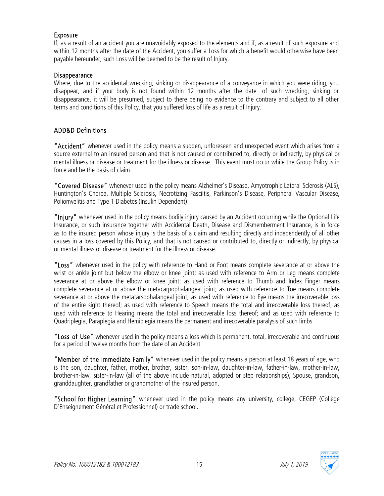#### Exposure

If, as a result of an accident you are unavoidably exposed to the elements and if, as a result of such exposure and within 12 months after the date of the Accident, you suffer a Loss for which a benefit would otherwise have been payable hereunder, such Loss will be deemed to be the result of Injury.

#### Disappearance

Where, due to the accidental wrecking, sinking or disappearance of a conveyance in which you were riding, you disappear, and if your body is not found within 12 months after the date of such wrecking, sinking or disappearance, it will be presumed, subject to there being no evidence to the contrary and subject to all other terms and conditions of this Policy, that you suffered loss of life as a result of Injury.

#### ADD&D Definitions

"Accident" whenever used in the policy means a sudden, unforeseen and unexpected event which arises from a source external to an insured person and that is not caused or contributed to, directly or indirectly, by physical or mental illness or disease or treatment for the illness or disease. This event must occur while the Group Policy is in force and be the basis of claim.

"Covered Disease" whenever used in the policy means Alzheimer's Disease, Amyotrophic Lateral Sclerosis (ALS), Huntington's Chorea, Multiple Sclerosis, Necrotizing Fasciitis, Parkinson's Disease, Peripheral Vascular Disease, Poliomyelitis and Type 1 Diabetes (Insulin Dependent).

"Injury" whenever used in the policy means bodily injury caused by an Accident occurring while the Optional Life Insurance, or such insurance together with Accidental Death, Disease and Dismemberment Insurance, is in force as to the insured person whose injury is the basis of a claim and resulting directly and independently of all other causes in a loss covered by this Policy, and that is not caused or contributed to, directly or indirectly, by physical or mental illness or disease or treatment for the illness or disease.

"Loss" whenever used in the policy with reference to Hand or Foot means complete severance at or above the wrist or ankle joint but below the elbow or knee joint; as used with reference to Arm or Leg means complete severance at or above the elbow or knee joint; as used with reference to Thumb and Index Finger means complete severance at or above the metacarpophalangeal joint; as used with reference to Toe means complete severance at or above the metatarsophalangeal joint; as used with reference to Eye means the irrecoverable loss of the entire sight thereof; as used with reference to Speech means the total and irrecoverable loss thereof; as used with reference to Hearing means the total and irrecoverable loss thereof; and as used with reference to Quadriplegia, Paraplegia and Hemiplegia means the permanent and irrecoverable paralysis of such limbs.

"Loss of Use" whenever used in the policy means a loss which is permanent, total, irrecoverable and continuous for a period of twelve months from the date of an Accident

"Member of the Immediate Family" whenever used in the policy means a person at least 18 years of age, who is the son, daughter, father, mother, brother, sister, son-in-law, daughter-in-law, father-in-law, mother-in-law, brother-in-law, sister-in-law (all of the above include natural, adopted or step relationships), Spouse, grandson, granddaughter, grandfather or grandmother of the insured person.

"School for Higher Learning" whenever used in the policy means any university, college, CEGEP (Collège D'Enseignement Général et Professionnel) or trade school.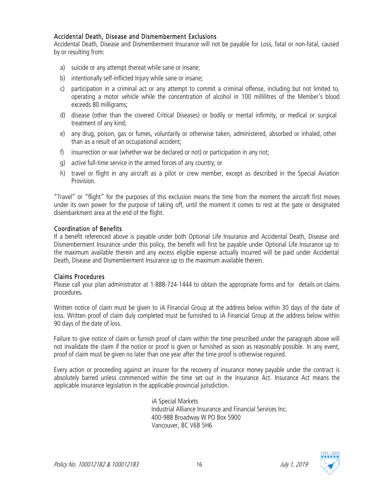#### Accidental Death, Disease and Dismemberment Exclusions

Accidental Death, Disease and Dismemberment Insurance will not be payable for Loss, fatal or non-fatal, caused by or resulting from:

- a) suicide or any attempt thereat while sane or insane;
- b) intentionally self-inflicted Injury while sane or insane;
- c) participation in a criminal act or any attempt to commit a criminal offense, including but not limited to, operating a motor vehicle while the concentration of alcohol in 100 millilitres of the Member's blood exceeds 80 milligrams;
- d) disease (other than the covered Critical Diseases) or bodily or mental infirmity, or medical or surgical treatment of any kind;
- e) any drug, poison, gas or fumes, voluntarily or otherwise taken, administered, absorbed or inhaled, other than as a result of an occupational accident;
- f) insurrection or war (whether war be declared or not) or participation in any riot;
- g) active full-time service in the armed forces of any country; or
- h) travel or flight in any aircraft as a pilot or crew member, except as described in the Special Aviation Provision.

"Travel" or "flight" for the purposes of this exclusion means the time from the moment the aircraft first moves under its own power for the purpose of taking off, until the moment it comes to rest at the gate or designated disembarkment area at the end of the flight.

#### Coordination of Benefits

If a benefit referenced above is payable under both Optional Life Insurance and Accidental Death, Disease and Dismemberment Insurance under this policy, the benefit will first be payable under Optional Life Insurance up to the maximum available therein and any excess eligible expense actually incurred will be paid under Accidental Death, Disease and Dismemberment Insurance up to the maximum available therein.

#### Claims Procedures

Please call your plan administrator at 1-888-724-1444 to obtain the appropriate forms and for details on claims procedures.

Written notice of claim must be given to iA Financial Group at the address below within 30 days of the date of loss. Written proof of claim duly completed must be furnished to iA Financial Group at the address below within 90 days of the date of loss.

Failure to give notice of claim or furnish proof of claim within the time prescribed under the paragraph above will not invalidate the claim if the notice or proof is given or furnished as soon as reasonably possible. In any event, proof of claim must be given no later than one year after the time proof is otherwise required.

Every action or proceeding against an insurer for the recovery of insurance money payable under the contract is absolutely barred unless commenced within the time set out in the Insurance Act. Insurance Act means the applicable insurance legislation in the applicable provincial jurisdiction.

> iA Special Markets Industrial Alliance Insurance and Financial Services Inc. 400-988 Broadway W PO Box 5900 Vancouver, BC V6B 5H6

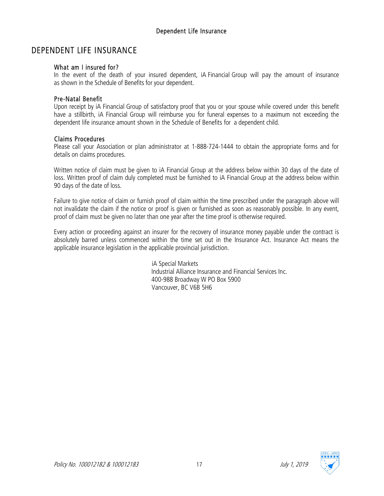# DEPENDENT LIFE INSURANCE

#### What am I insured for?

In the event of the death of your insured dependent, iA Financial Group will pay the amount of insurance as shown in the Schedule of Benefits for your dependent.

#### Pre-Natal Benefit

Upon receipt by iA Financial Group of satisfactory proof that you or your spouse while covered under this benefit have a stillbirth, iA Financial Group will reimburse you for funeral expenses to a maximum not exceeding the dependent life insurance amount shown in the Schedule of Benefits for a dependent child.

#### Claims Procedures

Please call your Association or plan administrator at 1-888-724-1444 to obtain the appropriate forms and for details on claims procedures.

Written notice of claim must be given to iA Financial Group at the address below within 30 days of the date of loss. Written proof of claim duly completed must be furnished to iA Financial Group at the address below within 90 days of the date of loss.

Failure to give notice of claim or furnish proof of claim within the time prescribed under the paragraph above will not invalidate the claim if the notice or proof is given or furnished as soon as reasonably possible. In any event, proof of claim must be given no later than one year after the time proof is otherwise required.

Every action or proceeding against an insurer for the recovery of insurance money payable under the contract is absolutely barred unless commenced within the time set out in the Insurance Act. Insurance Act means the applicable insurance legislation in the applicable provincial jurisdiction.

> iA Special Markets Industrial Alliance Insurance and Financial Services Inc. 400-988 Broadway W PO Box 5900 Vancouver, BC V6B 5H6

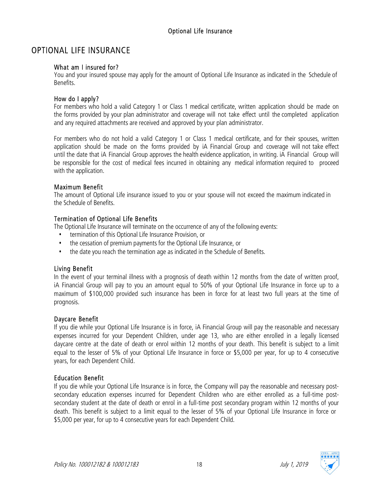# OPTIONAL LIFE INSURANCE

#### What am I insured for?

You and your insured spouse may apply for the amount of Optional Life Insurance as indicated in the Schedule of Benefits.

#### How do I apply?

For members who hold a valid Category 1 or Class 1 medical certificate, written application should be made on the forms provided by your plan administrator and coverage will not take effect until the completed application and any required attachments are received and approved by your plan administrator.

For members who do not hold a valid Category 1 or Class 1 medical certificate, and for their spouses, written application should be made on the forms provided by iA Financial Group and coverage will not take effect until the date that iA Financial Group approves the health evidence application, in writing. iA Financial Group will be responsible for the cost of medical fees incurred in obtaining any medical information required to proceed with the application.

#### Maximum Benefit

The amount of Optional Life insurance issued to you or your spouse will not exceed the maximum indicated in the Schedule of Benefits.

#### Termination of Optional Life Benefits

The Optional Life Insurance will terminate on the occurrence of any of the following events:

- termination of this Optional Life Insurance Provision, or
- the cessation of premium payments for the Optional Life Insurance, or
- the date you reach the termination age as indicated in the Schedule of Benefits.

#### Living Benefit

In the event of your terminal illness with a prognosis of death within 12 months from the date of written proof, iA Financial Group will pay to you an amount equal to 50% of your Optional Life Insurance in force up to a maximum of \$100,000 provided such insurance has been in force for at least two full years at the time of prognosis.

#### Daycare Benefit

If you die while your Optional Life Insurance is in force, iA Financial Group will pay the reasonable and necessary expenses incurred for your Dependent Children, under age 13, who are either enrolled in a legally licensed daycare centre at the date of death or enrol within 12 months of your death. This benefit is subject to a limit equal to the lesser of 5% of your Optional Life Insurance in force or \$5,000 per year, for up to 4 consecutive years, for each Dependent Child.

#### Education Benefit

If you die while your Optional Life Insurance is in force, the Company will pay the reasonable and necessary postsecondary education expenses incurred for Dependent Children who are either enrolled as a full-time postsecondary student at the date of death or enrol in a full-time post secondary program within 12 months of your death. This benefit is subject to a limit equal to the lesser of 5% of your Optional Life Insurance in force or \$5,000 per year, for up to 4 consecutive years for each Dependent Child.